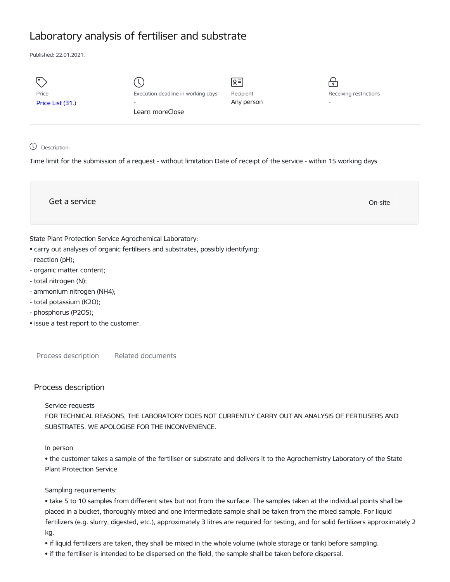# Laboratory analysis of fertiliser and substrate

Published: 22.01.2021.

| I۰<br>Price<br>Price List (31.) | Execution deadline in working days<br>$\overline{\phantom{0}}$ | Զ≡ <br>Recipient<br>Any person | $\mathbf{P}$<br>Receiving restrictions<br>$\overline{\phantom{a}}$ |
|---------------------------------|----------------------------------------------------------------|--------------------------------|--------------------------------------------------------------------|
|                                 | Learn moreClose                                                |                                |                                                                    |
|                                 |                                                                |                                |                                                                    |

## Description:

Time limit for the submission of a request - without limitation Date of receipt of the service - within 15 working days

Get a service On-site State Plant Protection Service Agrochemical Laboratory:

- carry out analyses of organic fertilisers and substrates, possibly identifying:
- reaction (pH);
- organic matter content;
- total nitrogen (N);
- ammonium nitrogen (NH4);
- total potassium (K2O);
- phosphorus (P2O5);
- issue a test report to the customer.

Process description Related documents

## Process description

#### Service requests

FOR TECHNICAL REASONS, THE LABORATORY DOES NOT CURRENTLY CARRY OUT AN ANALYSIS OF FERTILISERS AND SUBSTRATES. WE APOLOGISE FOR THE INCONVENIENCE.

#### In person

• the customer takes a sample of the fertiliser or substrate and delivers it to the Agrochemistry Laboratory of the State Plant Protection Service

#### Sampling requirements:

• take 5 to 10 samples from different sites but not from the surface. The samples taken at the individual points shall be placed in a bucket, thoroughly mixed and one intermediate sample shall be taken from the mixed sample. For liquid fertilizers (e.g. slurry, digested, etc.), approximately 3 litres are required for testing, and for solid fertilizers approximately 2 kg.

- if liquid fertilizers are taken, they shall be mixed in the whole volume (whole storage or tank) before sampling.
- if the fertiliser is intended to be dispersed on the field, the sample shall be taken before dispersal.